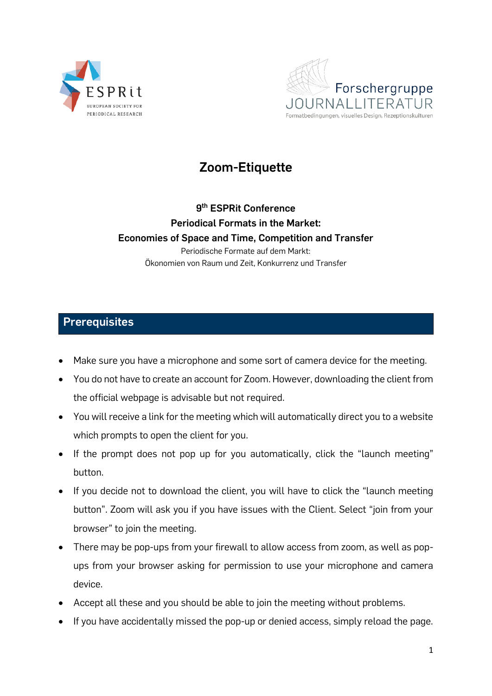



# **Zoom-Etiquette**

#### **9 th ESPRit Conference Periodical Formats in the Market: Economies of Space and Time, Competition and Transfer** Periodische Formate auf dem Markt: Ökonomien von Raum und Zeit, Konkurrenz und Transfer

# **Prerequisites**

- Make sure you have a microphone and some sort of camera device for the meeting.
- You do not have to create an account for Zoom. However, downloading the client from the official webpage is advisable but not required.
- You will receive a link for the meeting which will automatically direct you to a website which prompts to open the client for you.
- If the prompt does not pop up for you automatically, click the "launch meeting" button.
- If you decide not to download the client, you will have to click the "launch meeting button". Zoom will ask you if you have issues with the Client. Select "join from your browser" to join the meeting.
- There may be pop-ups from your firewall to allow access from zoom, as well as popups from your browser asking for permission to use your microphone and camera device.
- Accept all these and you should be able to join the meeting without problems.
- If you have accidentally missed the pop-up or denied access, simply reload the page.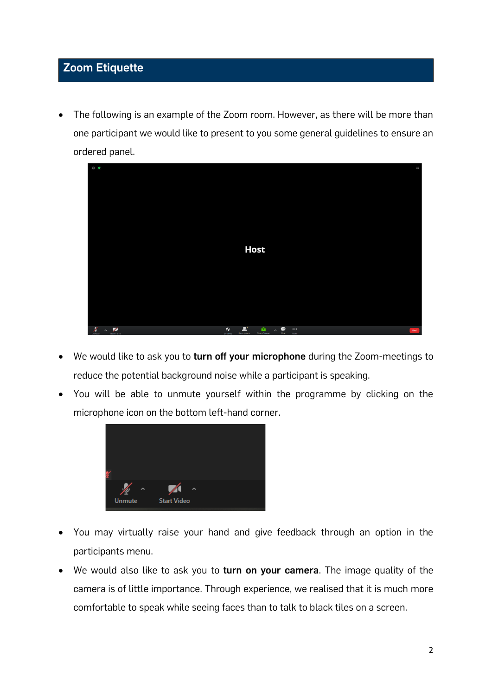# **Zoom Etiquette**

The following is an example of the Zoom room. However, as there will be more than one participant we would like to present to you some general guidelines to ensure an ordered panel.



- We would like to ask you to **turn off your microphone** during the Zoom-meetings to reduce the potential background noise while a participant is speaking.
- You will be able to unmute yourself within the programme by clicking on the microphone icon on the bottom left-hand corner.



- You may virtually raise your hand and give feedback through an option in the participants menu.
- We would also like to ask you to **turn on your camera**. The image quality of the camera is of little importance. Through experience, we realised that it is much more comfortable to speak while seeing faces than to talk to black tiles on a screen.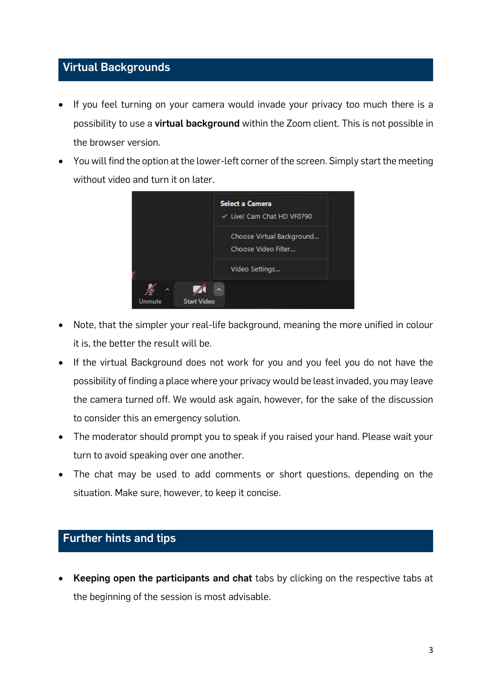### **Virtual Backgrounds**

- If you feel turning on your camera would invade your privacy too much there is a possibility to use a **virtual background** within the Zoom client. This is not possible in the browser version.
- You will find the option at the lower-left corner of the screen. Simply start the meeting without video and turn it on later.



- Note, that the simpler your real-life background, meaning the more unified in colour it is, the better the result will be.
- If the virtual Background does not work for you and you feel you do not have the possibility of finding a place where your privacy would be least invaded, you may leave the camera turned off. We would ask again, however, for the sake of the discussion to consider this an emergency solution.
- The moderator should prompt you to speak if you raised your hand. Please wait your turn to avoid speaking over one another.
- The chat may be used to add comments or short questions, depending on the situation. Make sure, however, to keep it concise.

### **Further hints and tips**

• **Keeping open the participants and chat** tabs by clicking on the respective tabs at the beginning of the session is most advisable.